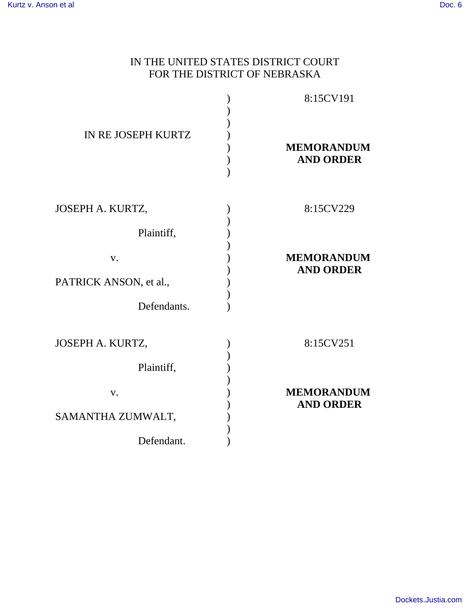## IN THE UNITED STATES DISTRICT COURT FOR THE DISTRICT OF NEBRASKA

|                        | 8:15CV191                             |
|------------------------|---------------------------------------|
| IN RE JOSEPH KURTZ     | <b>MEMORANDUM</b><br><b>AND ORDER</b> |
| JOSEPH A. KURTZ,       | 8:15CV229                             |
| Plaintiff,             |                                       |
| V.                     | <b>MEMORANDUM</b><br><b>AND ORDER</b> |
| PATRICK ANSON, et al., |                                       |
| Defendants.            |                                       |
| JOSEPH A. KURTZ,       | 8:15CV251                             |
| Plaintiff,             |                                       |
| V.                     | <b>MEMORANDUM</b><br><b>AND ORDER</b> |
| SAMANTHA ZUMWALT,      |                                       |
| Defendant.             |                                       |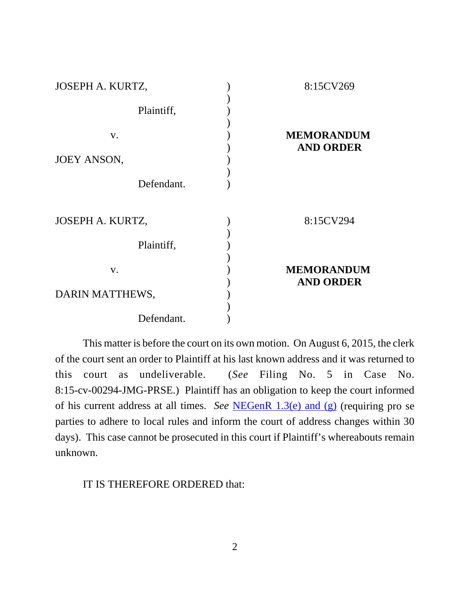| JOSEPH A. KURTZ,   | 8:15CV269         |
|--------------------|-------------------|
|                    |                   |
| Plaintiff,         |                   |
|                    |                   |
| V.                 | <b>MEMORANDUM</b> |
|                    | <b>AND ORDER</b>  |
| <b>JOEY ANSON,</b> |                   |
|                    |                   |
| Defendant.         |                   |
|                    |                   |
| JOSEPH A. KURTZ,   | 8:15CV294         |
|                    |                   |
| Plaintiff,         |                   |
|                    |                   |
| V.                 | <b>MEMORANDUM</b> |
|                    | <b>AND ORDER</b>  |
| DARIN MATTHEWS,    |                   |
|                    |                   |
| Defendant.         |                   |

This matter is before the court on its own motion. On August 6, 2015, the clerk of the court sent an order to Plaintiff at his last known address and it was returned to this court as undeliverable. (*See* Filing No. 5 in Case No. 8:15-cv-00294-JMG-PRSE.) Plaintiff has an obligation to keep the court informed of his current address at all times. *See* NEGenR 1.3(e) and (g) (requiring pro se parties to adhere to local rules and inform the court of address changes within 30 days). This case cannot be prosecuted in this court if Plaintiff's whereabouts remain unknown.

IT IS THEREFORE ORDERED that: